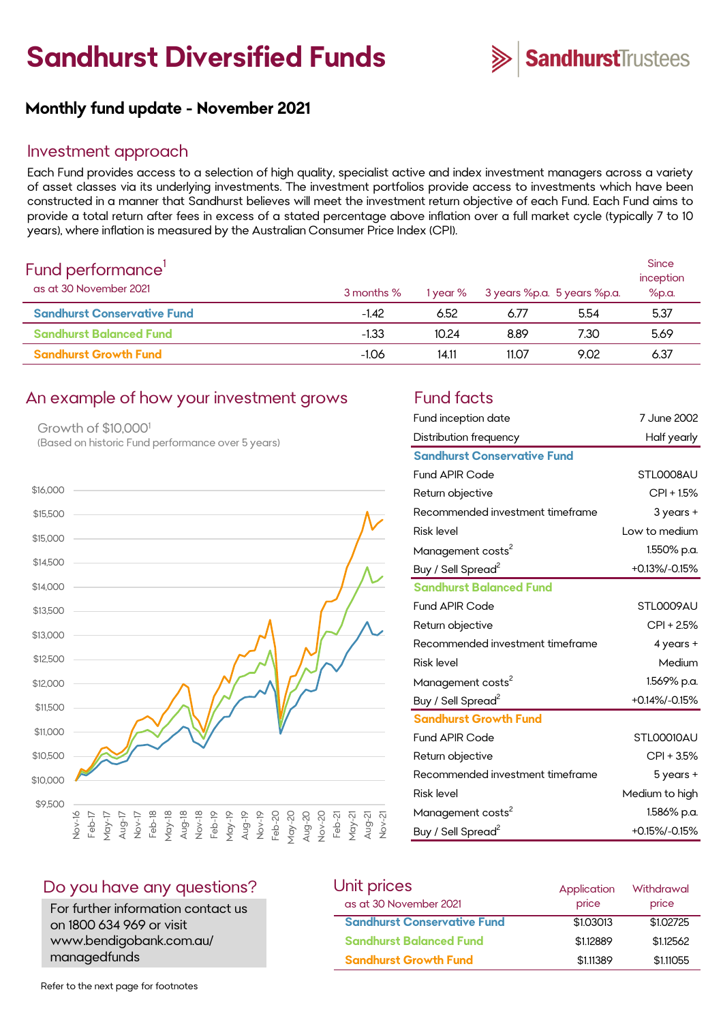# **Sandhurst Diversified Funds**



# **Monthly fund update - November 2021**

#### Investment approach

Each Fund provides access to a selection of high quality, specialist active and index investment managers across a variety of asset classes via its underlying investments. The investment portfolios provide access to investments which have been constructed in a manner that Sandhurst believes will meet the investment return objective of each Fund. Each Fund aims to provide a total return after fees in excess of a stated percentage above inflation over a full market cycle (typically 7 to 10 years), where inflation is measured by the Australian Consumer Price Index (CPI).

| Fund performance'<br>as at 30 November 2021 | 3 months % | 1 year % | 3 years %p.a. 5 years %p.a. |      | Since<br>inception<br>%p.a. |
|---------------------------------------------|------------|----------|-----------------------------|------|-----------------------------|
| <b>Sandhurst Conservative Fund</b>          | $-1.42$    | 6.52     | 6.77                        | 5.54 | 5.37                        |
| <b>Sandhurst Balanced Fund</b>              | $-1.33$    | 10.24    | 8.89                        | 7.30 | 5.69                        |
| <b>Sandhurst Growth Fund</b>                | $-1.06$    | 14.11    | 11.07                       | 9.02 | 6.37                        |

#### An example of how your investment grows Fund facts

Growth of \$10,000<sup>1</sup> (Based on historic Fund performance over 5 years)



| Fund inception date                | 7 June 2002    |
|------------------------------------|----------------|
| Distribution frequency             | Half yearly    |
| <b>Sandhurst Conservative Fund</b> |                |
| <b>Fund APIR Code</b>              | STLOOO8AU      |
| Return objective                   | $CPI + 1.5%$   |
| Recommended investment timeframe   | 3 years +      |
| <b>Risk level</b>                  | Low to medium  |
| Management costs <sup>2</sup>      | 1.550% p.a.    |
| Buy / Sell Spread <sup>2</sup>     | +0.13%/-0.15%  |
| <b>Sandhurst Balanced Fund</b>     |                |
| <b>Fund APIR Code</b>              | STL0009AU      |
| Return objective                   | CPI + 2.5%     |
| Recommended investment timeframe   | $4$ years $+$  |
| <b>Risk level</b>                  | Medium         |
| Management costs <sup>2</sup>      | 1.569% p.a.    |
| Buy / Sell Spread <sup>2</sup>     | +0.14%/-0.15%  |
| <b>Sandhurst Growth Fund</b>       |                |
| <b>Fund APIR Code</b>              | STLOOO10AU     |
| Return objective                   | $CPI + 3.5%$   |
| Recommended investment timeframe   | 5 years +      |
| <b>Risk level</b>                  | Medium to high |
| Management costs <sup>2</sup>      | 1.586% p.a.    |
| Buy / Sell Spread <sup>2</sup>     | +0.15%/-0.15%  |

#### Do you have any questions?

For further information contact us on 1800 634 969 or visit www.bendigobank.com.au/ managedfunds

| Unit prices                        | Application | Withdrawal |
|------------------------------------|-------------|------------|
| as at 30 November 2021             | price       | price      |
| <b>Sandhurst Conservative Fund</b> | \$1.03013   | \$1,02725  |
| <b>Sandhurst Balanced Fund</b>     | \$1,12889   | \$1,12562  |
| <b>Sandhurst Growth Fund</b>       | \$1.11389   | \$1,11055  |